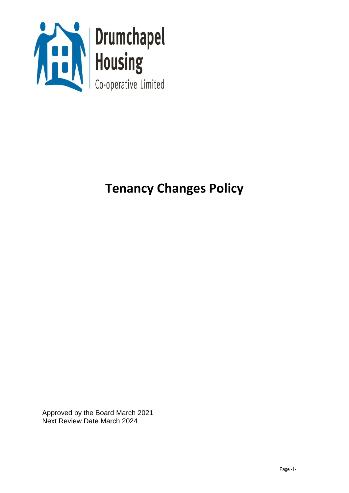

# **Tenancy Changes Policy**

Approved by the Board March 2021 Next Review Date March 2024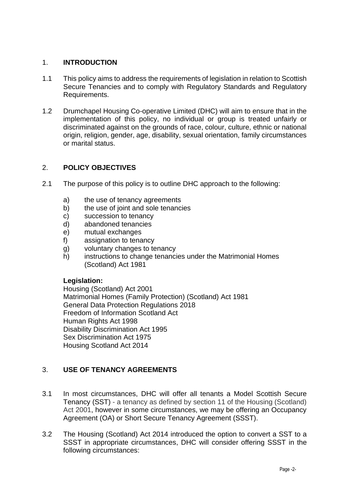## 1. **INTRODUCTION**

- 1.1 This policy aims to address the requirements of legislation in relation to Scottish Secure Tenancies and to comply with Regulatory Standards and Regulatory Requirements.
- 1.2 Drumchapel Housing Co-operative Limited (DHC) will aim to ensure that in the implementation of this policy, no individual or group is treated unfairly or discriminated against on the grounds of race, colour, culture, ethnic or national origin, religion, gender, age, disability, sexual orientation, family circumstances or marital status.

## 2. **POLICY OBJECTIVES**

- 2.1 The purpose of this policy is to outline DHC approach to the following:
	- a) the use of tenancy agreements
	- b) the use of joint and sole tenancies
	- c) succession to tenancy
	- d) abandoned tenancies
	- e) mutual exchanges
	- f) assignation to tenancy
	- g) voluntary changes to tenancy
	- h) instructions to change tenancies under the Matrimonial Homes (Scotland) Act 1981

#### **Legislation:**

Housing (Scotland) Act 2001 Matrimonial Homes (Family Protection) (Scotland) Act 1981 General Data Protection Regulations 2018 Freedom of Information Scotland Act Human Rights Act 1998 Disability Discrimination Act 1995 Sex Discrimination Act 1975 Housing Scotland Act 2014

## 3. **USE OF TENANCY AGREEMENTS**

- 3.1 In most circumstances, DHC will offer all tenants a Model Scottish Secure Tenancy (SST) - a tenancy as defined by section 11 of the Housing (Scotland) Act 2001, however in some circumstances, we may be offering an Occupancy Agreement (OA) or Short Secure Tenancy Agreement (SSST).
- 3.2 The Housing (Scotland) Act 2014 introduced the option to convert a SST to a SSST in appropriate circumstances, DHC will consider offering SSST in the following circumstances: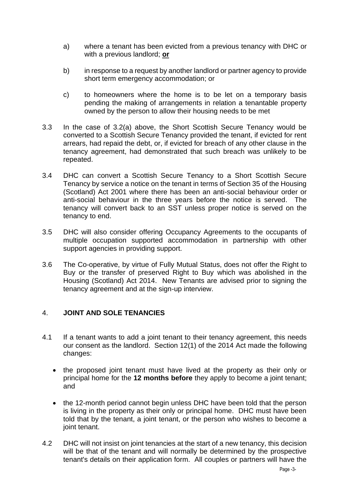- a) where a tenant has been evicted from a previous tenancy with DHC or with a previous landlord; **or**
- b) in response to a request by another landlord or partner agency to provide short term emergency accommodation; or
- c) to homeowners where the home is to be let on a temporary basis pending the making of arrangements in relation a tenantable property owned by the person to allow their housing needs to be met
- 3.3 In the case of 3.2(a) above, the Short Scottish Secure Tenancy would be converted to a Scottish Secure Tenancy provided the tenant, if evicted for rent arrears, had repaid the debt, or, if evicted for breach of any other clause in the tenancy agreement, had demonstrated that such breach was unlikely to be repeated.
- 3.4 DHC can convert a Scottish Secure Tenancy to a Short Scottish Secure Tenancy by service a notice on the tenant in terms of Section 35 of the Housing (Scotland) Act 2001 where there has been an anti-social behaviour order or anti-social behaviour in the three years before the notice is served. The tenancy will convert back to an SST unless proper notice is served on the tenancy to end.
- 3.5 DHC will also consider offering Occupancy Agreements to the occupants of multiple occupation supported accommodation in partnership with other support agencies in providing support.
- 3.6 The Co-operative, by virtue of Fully Mutual Status, does not offer the Right to Buy or the transfer of preserved Right to Buy which was abolished in the Housing (Scotland) Act 2014. New Tenants are advised prior to signing the tenancy agreement and at the sign-up interview.

## 4. **JOINT AND SOLE TENANCIES**

- 4.1 If a tenant wants to add a joint tenant to their tenancy agreement, this needs our consent as the landlord. Section 12(1) of the 2014 Act made the following changes:
	- the proposed joint tenant must have lived at the property as their only or principal home for the **12 months before** they apply to become a joint tenant; and
	- the 12-month period cannot begin unless DHC have been told that the person is living in the property as their only or principal home. DHC must have been told that by the tenant, a joint tenant, or the person who wishes to become a joint tenant.
- 4.2 DHC will not insist on joint tenancies at the start of a new tenancy, this decision will be that of the tenant and will normally be determined by the prospective tenant's details on their application form. All couples or partners will have the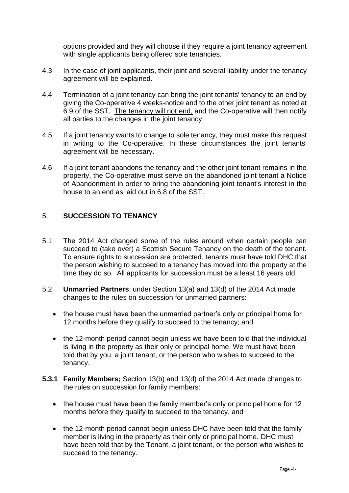options provided and they will choose if they require a joint tenancy agreement with single applicants being offered sole tenancies.

- 4.3 In the case of joint applicants, their joint and several liability under the tenancy agreement will be explained.
- 4.4 Termination of a joint tenancy can bring the joint tenants' tenancy to an end by giving the Co-operative 4 weeks-notice and to the other joint tenant as noted at 6.9 of the SST. The tenancy will not end, and the Co-operative will then notify all parties to the changes in the joint tenancy.
- 4.5 If a joint tenancy wants to change to sole tenancy, they must make this request in writing to the Co-operative. In these circumstances the joint tenants' agreement will be necessary.
- 4.6 If a joint tenant abandons the tenancy and the other joint tenant remains in the property, the Co-operative must serve on the abandoned joint tenant a Notice of Abandonment in order to bring the abandoning joint tenant's interest in the house to an end as laid out in 6.8 of the SST.

## 5. **SUCCESSION TO TENANCY**

- 5.1 The 2014 Act changed some of the rules around when certain people can succeed to (take over) a Scottish Secure Tenancy on the death of the tenant. To ensure rights to succession are protected, tenants must have told DHC that the person wishing to succeed to a tenancy has moved into the property at the time they do so. All applicants for succession must be a least 16 years old.
- 5.2 **Unmarried Partners**; under Section 13(a) and 13(d) of the 2014 Act made changes to the rules on succession for unmarried partners:
	- the house must have been the unmarried partner's only or principal home for 12 months before they qualify to succeed to the tenancy; and
	- the 12-month period cannot begin unless we have been told that the individual is living in the property as their only or principal home. We must have been told that by you, a joint tenant, or the person who wishes to succeed to the tenancy.
- **5.3.1 Family Members;** Section 13(b) and 13(d) of the 2014 Act made changes to the rules on succession for family members:
	- the house must have been the family member's only or principal home for 12 months before they qualify to succeed to the tenancy, and
	- the 12-month period cannot begin unless DHC have been told that the family member is living in the property as their only or principal home. DHC must have been told that by the Tenant, a joint tenant, or the person who wishes to succeed to the tenancy.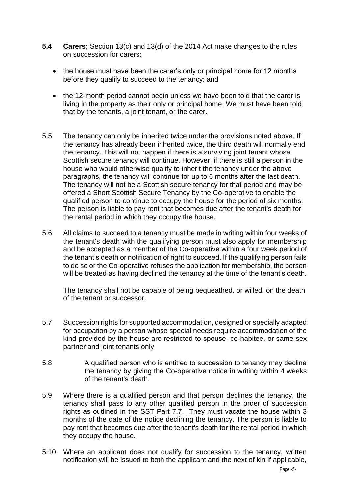- **5.4 Carers;** Section 13(c) and 13(d) of the 2014 Act make changes to the rules on succession for carers:
	- the house must have been the carer's only or principal home for 12 months before they qualify to succeed to the tenancy; and
	- the 12-month period cannot begin unless we have been told that the carer is living in the property as their only or principal home. We must have been told that by the tenants, a joint tenant, or the carer.
- 5.5 The tenancy can only be inherited twice under the provisions noted above. If the tenancy has already been inherited twice, the third death will normally end the tenancy. This will not happen if there is a surviving joint tenant whose Scottish secure tenancy will continue. However, if there is still a person in the house who would otherwise qualify to inherit the tenancy under the above paragraphs, the tenancy will continue for up to 6 months after the last death. The tenancy will not be a Scottish secure tenancy for that period and may be offered a Short Scottish Secure Tenancy by the Co-operative to enable the qualified person to continue to occupy the house for the period of six months. The person is liable to pay rent that becomes due after the tenant's death for the rental period in which they occupy the house.
- 5.6 All claims to succeed to a tenancy must be made in writing within four weeks of the tenant's death with the qualifying person must also apply for membership and be accepted as a member of the Co-operative within a four week period of the tenant's death or notification of right to succeed. If the qualifying person fails to do so or the Co-operative refuses the application for membership, the person will be treated as having declined the tenancy at the time of the tenant's death.

The tenancy shall not be capable of being bequeathed, or willed, on the death of the tenant or successor.

- 5.7 Succession rights for supported accommodation, designed or specially adapted for occupation by a person whose special needs require accommodation of the kind provided by the house are restricted to spouse, co-habitee, or same sex partner and joint tenants only
- 5.8 A qualified person who is entitled to succession to tenancy may decline the tenancy by giving the Co-operative notice in writing within 4 weeks of the tenant's death.
- 5.9 Where there is a qualified person and that person declines the tenancy, the tenancy shall pass to any other qualified person in the order of succession rights as outlined in the SST Part 7.7. They must vacate the house within 3 months of the date of the notice declining the tenancy. The person is liable to pay rent that becomes due after the tenant's death for the rental period in which they occupy the house.
- 5.10 Where an applicant does not qualify for succession to the tenancy, written notification will be issued to both the applicant and the next of kin if applicable,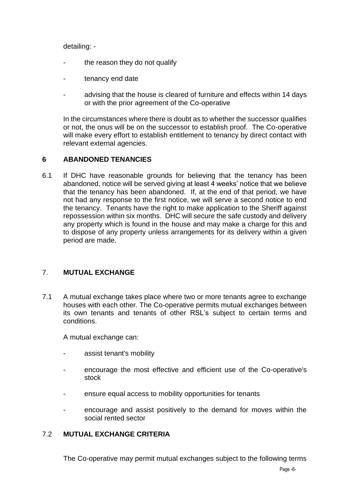detailing: -

- the reason they do not qualify
- tenancy end date
- advising that the house is cleared of furniture and effects within 14 days or with the prior agreement of the Co-operative

In the circumstances where there is doubt as to whether the successor qualifies or not, the onus will be on the successor to establish proof. The Co-operative will make every effort to establish entitlement to tenancy by direct contact with relevant external agencies.

## **6 ABANDONED TENANCIES**

6.1 If DHC have reasonable grounds for believing that the tenancy has been abandoned, notice will be served giving at least 4 weeks' notice that we believe that the tenancy has been abandoned. If, at the end of that period, we have not had any response to the first notice, we will serve a second notice to end the tenancy. Tenants have the right to make application to the Sheriff against repossession within six months. DHC will secure the safe custody and delivery any property which is found in the house and may make a charge for this and to dispose of any property unless arrangements for its delivery within a given period are made.

## 7. **MUTUAL EXCHANGE**

7.1 A mutual exchange takes place where two or more tenants agree to exchange houses with each other. The Co-operative permits mutual exchanges between its own tenants and tenants of other RSL's subject to certain terms and conditions.

A mutual exchange can:

- assist tenant's mobility
- encourage the most effective and efficient use of the Co-operative's stock
- ensure equal access to mobility opportunities for tenants
- encourage and assist positively to the demand for moves within the social rented sector

#### 7.2 **MUTUAL EXCHANGE CRITERIA**

The Co-operative may permit mutual exchanges subject to the following terms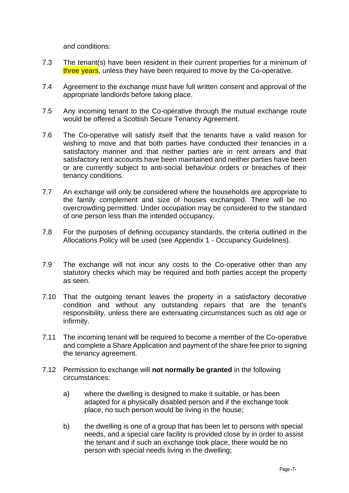and conditions:

- 7.3 The tenant(s) have been resident in their current properties for a minimum of three years, unless they have been required to move by the Co-operative.
- 7.4 Agreement to the exchange must have full written consent and approval of the appropriate landlords before taking place.
- 7.5 Any incoming tenant to the Co-operative through the mutual exchange route would be offered a Scottish Secure Tenancy Agreement.
- 7.6 The Co-operative will satisfy itself that the tenants have a valid reason for wishing to move and that both parties have conducted their tenancies in a satisfactory manner and that neither parties are in rent arrears and that satisfactory rent accounts have been maintained and neither parties have been or are currently subject to anti-social behaviour orders or breaches of their tenancy conditions.
- 7.7 An exchange will only be considered where the households are appropriate to the family complement and size of houses exchanged. There will be no overcrowding permitted. Under occupation may be considered to the standard of one person less than the intended occupancy.
- 7.8 For the purposes of defining occupancy standards, the criteria outlined in the Allocations Policy will be used (see Appendix 1 - Occupancy Guidelines).
- 7.9 The exchange will not incur any costs to the Co-operative other than any statutory checks which may be required and both parties accept the property as seen.
- 7.10 That the outgoing tenant leaves the property in a satisfactory decorative condition and without any outstanding repairs that are the tenant's responsibility, unless there are extenuating circumstances such as old age or infirmity.
- 7.11 The incoming tenant will be required to become a member of the Co-operative and complete a Share Application and payment of the share fee prior to signing the tenancy agreement.
- 7.12 Permission to exchange will **not normally be granted** in the following circumstances:
	- a) where the dwelling is designed to make it suitable, or has been adapted for a physically disabled person and if the exchange took place, no such person would be living in the house;
	- b) the dwelling is one of a group that has been let to persons with special needs, and a special care facility is provided close by in order to assist the tenant and if such an exchange took place, there would be no person with special needs living in the dwelling;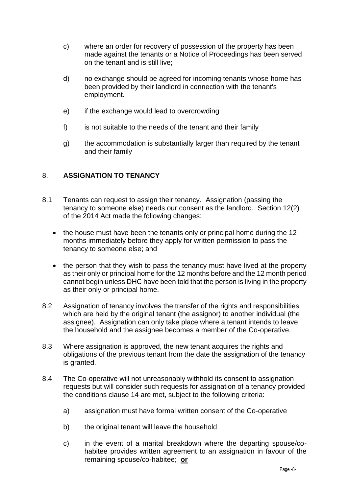- c) where an order for recovery of possession of the property has been made against the tenants or a Notice of Proceedings has been served on the tenant and is still live;
- d) no exchange should be agreed for incoming tenants whose home has been provided by their landlord in connection with the tenant's employment.
- e) if the exchange would lead to overcrowding
- f) is not suitable to the needs of the tenant and their family
- g) the accommodation is substantially larger than required by the tenant and their family

## 8. **ASSIGNATION TO TENANCY**

- 8.1 Tenants can request to assign their tenancy. Assignation (passing the tenancy to someone else) needs our consent as the landlord. Section 12(2) of the 2014 Act made the following changes:
	- the house must have been the tenants only or principal home during the 12 months immediately before they apply for written permission to pass the tenancy to someone else; and
	- the person that they wish to pass the tenancy must have lived at the property as their only or principal home for the 12 months before and the 12 month period cannot begin unless DHC have been told that the person is living in the property as their only or principal home.
- 8.2 Assignation of tenancy involves the transfer of the rights and responsibilities which are held by the original tenant (the assignor) to another individual (the assignee). Assignation can only take place where a tenant intends to leave the household and the assignee becomes a member of the Co-operative.
- 8.3 Where assignation is approved, the new tenant acquires the rights and obligations of the previous tenant from the date the assignation of the tenancy is granted.
- 8.4 The Co-operative will not unreasonably withhold its consent to assignation requests but will consider such requests for assignation of a tenancy provided the conditions clause 14 are met, subject to the following criteria:
	- a) assignation must have formal written consent of the Co-operative
	- b) the original tenant will leave the household
	- c) in the event of a marital breakdown where the departing spouse/cohabitee provides written agreement to an assignation in favour of the remaining spouse/co-habitee; **or**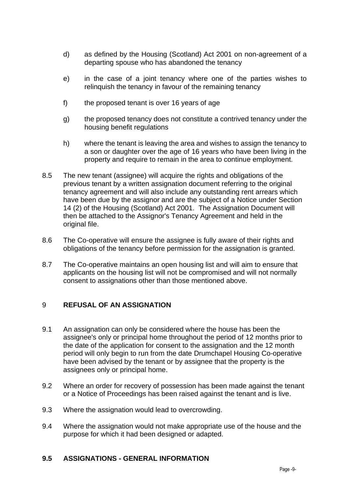- d) as defined by the Housing (Scotland) Act 2001 on non-agreement of a departing spouse who has abandoned the tenancy
- e) in the case of a joint tenancy where one of the parties wishes to relinquish the tenancy in favour of the remaining tenancy
- f) the proposed tenant is over 16 years of age
- g) the proposed tenancy does not constitute a contrived tenancy under the housing benefit regulations
- h) where the tenant is leaving the area and wishes to assign the tenancy to a son or daughter over the age of 16 years who have been living in the property and require to remain in the area to continue employment.
- 8.5 The new tenant (assignee) will acquire the rights and obligations of the previous tenant by a written assignation document referring to the original tenancy agreement and will also include any outstanding rent arrears which have been due by the assignor and are the subject of a Notice under Section 14 (2) of the Housing (Scotland) Act 2001. The Assignation Document will then be attached to the Assignor's Tenancy Agreement and held in the original file.
- 8.6 The Co-operative will ensure the assignee is fully aware of their rights and obligations of the tenancy before permission for the assignation is granted.
- 8.7 The Co-operative maintains an open housing list and will aim to ensure that applicants on the housing list will not be compromised and will not normally consent to assignations other than those mentioned above.

#### 9 **REFUSAL OF AN ASSIGNATION**

- 9.1 An assignation can only be considered where the house has been the assignee's only or principal home throughout the period of 12 months prior to the date of the application for consent to the assignation and the 12 month period will only begin to run from the date Drumchapel Housing Co-operative have been advised by the tenant or by assignee that the property is the assignees only or principal home.
- 9.2 Where an order for recovery of possession has been made against the tenant or a Notice of Proceedings has been raised against the tenant and is live.
- 9.3 Where the assignation would lead to overcrowding.
- 9.4 Where the assignation would not make appropriate use of the house and the purpose for which it had been designed or adapted.

#### **9.5 ASSIGNATIONS - GENERAL INFORMATION**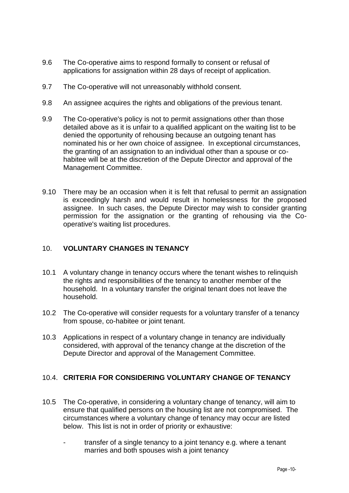- 9.6 The Co-operative aims to respond formally to consent or refusal of applications for assignation within 28 days of receipt of application.
- 9.7 The Co-operative will not unreasonably withhold consent.
- 9.8 An assignee acquires the rights and obligations of the previous tenant.
- 9.9 The Co-operative's policy is not to permit assignations other than those detailed above as it is unfair to a qualified applicant on the waiting list to be denied the opportunity of rehousing because an outgoing tenant has nominated his or her own choice of assignee. In exceptional circumstances, the granting of an assignation to an individual other than a spouse or cohabitee will be at the discretion of the Depute Director and approval of the Management Committee.
- 9.10 There may be an occasion when it is felt that refusal to permit an assignation is exceedingly harsh and would result in homelessness for the proposed assignee. In such cases, the Depute Director may wish to consider granting permission for the assignation or the granting of rehousing via the Cooperative's waiting list procedures.

#### 10. **VOLUNTARY CHANGES IN TENANCY**

- 10.1 A voluntary change in tenancy occurs where the tenant wishes to relinquish the rights and responsibilities of the tenancy to another member of the household. In a voluntary transfer the original tenant does not leave the household.
- 10.2 The Co-operative will consider requests for a voluntary transfer of a tenancy from spouse, co-habitee or joint tenant.
- 10.3 Applications in respect of a voluntary change in tenancy are individually considered, with approval of the tenancy change at the discretion of the Depute Director and approval of the Management Committee.

## 10.4. **CRITERIA FOR CONSIDERING VOLUNTARY CHANGE OF TENANCY**

- 10.5 The Co-operative, in considering a voluntary change of tenancy, will aim to ensure that qualified persons on the housing list are not compromised. The circumstances where a voluntary change of tenancy may occur are listed below. This list is not in order of priority or exhaustive:
	- transfer of a single tenancy to a joint tenancy e.g. where a tenant marries and both spouses wish a joint tenancy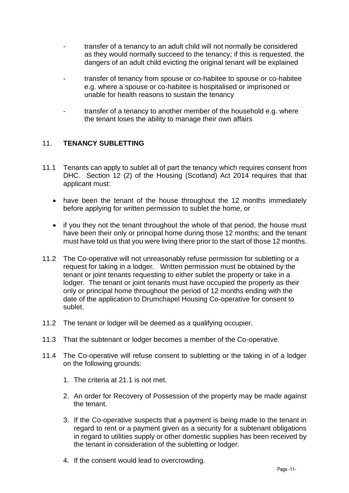- transfer of a tenancy to an adult child will not normally be considered as they would normally succeed to the tenancy; if this is requested, the dangers of an adult child evicting the original tenant will be explained
- transfer of tenancy from spouse or co-habitee to spouse or co-habitee e.g. where a spouse or co-habitee is hospitalised or imprisoned or unable for health reasons to sustain the tenancy
- transfer of a tenancy to another member of the household e.g. where the tenant loses the ability to manage their own affairs

## 11. **TENANCY SUBLETTING**

- 11.1 Tenants can apply to sublet all of part the tenancy which requires consent from DHC. Section 12 (2) of the Housing (Scotland) Act 2014 requires that that applicant must:
	- have been the tenant of the house throughout the 12 months immediately before applying for written permission to sublet the home, or
	- if you they not the tenant throughout the whole of that period, the house must have been their only or principal home during those 12 months; and the tenant must have told us that you were living there prior to the start of those 12 months.
- 11.2 The Co-operative will not unreasonably refuse permission for subletting or a request for taking in a lodger. Written permission must be obtained by the tenant or joint tenants requesting to either sublet the property or take in a lodger. The tenant or joint tenants must have occupied the property as their only or principal home throughout the period of 12 months ending with the date of the application to Drumchapel Housing Co-operative for consent to sublet.
- 11.2 The tenant or lodger will be deemed as a qualifying occupier.
- 11.3 That the subtenant or lodger becomes a member of the Co-operative.
- 11.4 The Co-operative will refuse consent to subletting or the taking in of a lodger on the following grounds:
	- 1. The criteria at 21.1 is not met.
	- 2. An order for Recovery of Possession of the property may be made against the tenant.
	- 3. If the Co-operative suspects that a payment is being made to the tenant in regard to rent or a payment given as a security for a subtenant obligations in regard to utilities supply or other domestic supplies has been received by the tenant in consideration of the subletting or lodger.
	- 4. If the consent would lead to overcrowding.